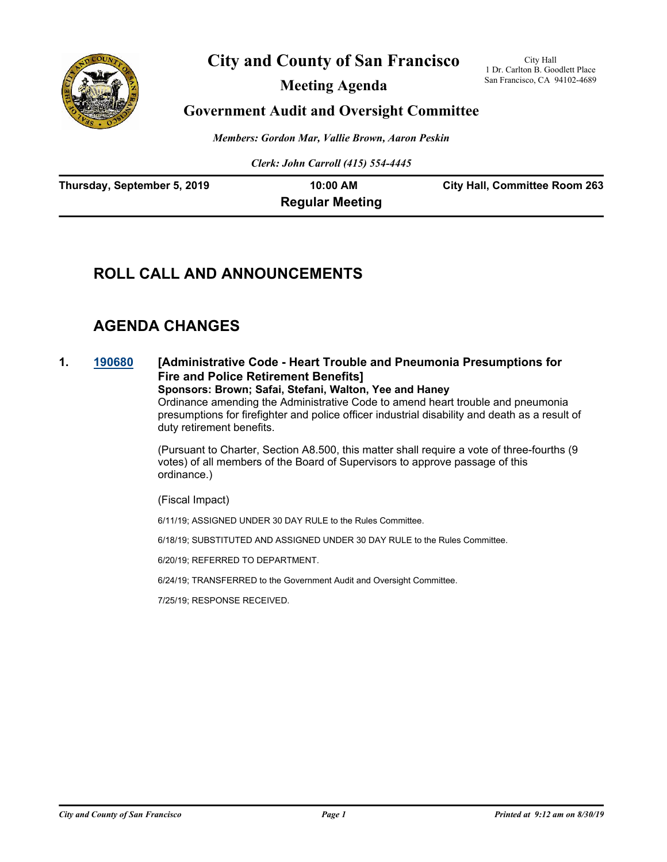

# **City and County of San Francisco**

**Meeting Agenda**

City Hall 1 Dr. Carlton B. Goodlett Place San Francisco, CA 94102-4689

# **Government Audit and Oversight Committee**

*Members: Gordon Mar, Vallie Brown, Aaron Peskin*

*Clerk: John Carroll (415) 554-4445*

| Thursday, September 5, 2019 | 10:00 AM               | <b>City Hall, Committee Room 263</b> |
|-----------------------------|------------------------|--------------------------------------|
|                             | <b>Regular Meeting</b> |                                      |

# **ROLL CALL AND ANNOUNCEMENTS**

# **AGENDA CHANGES**

### **1. [190680](http://sfgov.legistar.com/gateway.aspx?m=l&id=34802) [Administrative Code - Heart Trouble and Pneumonia Presumptions for Fire and Police Retirement Benefits]**

**Sponsors: Brown; Safai, Stefani, Walton, Yee and Haney** Ordinance amending the Administrative Code to amend heart trouble and pneumonia presumptions for firefighter and police officer industrial disability and death as a result of duty retirement benefits.

(Pursuant to Charter, Section A8.500, this matter shall require a vote of three-fourths (9 votes) of all members of the Board of Supervisors to approve passage of this ordinance.)

(Fiscal Impact)

6/11/19; ASSIGNED UNDER 30 DAY RULE to the Rules Committee.

6/18/19; SUBSTITUTED AND ASSIGNED UNDER 30 DAY RULE to the Rules Committee.

6/20/19; REFERRED TO DEPARTMENT.

6/24/19; TRANSFERRED to the Government Audit and Oversight Committee.

7/25/19; RESPONSE RECEIVED.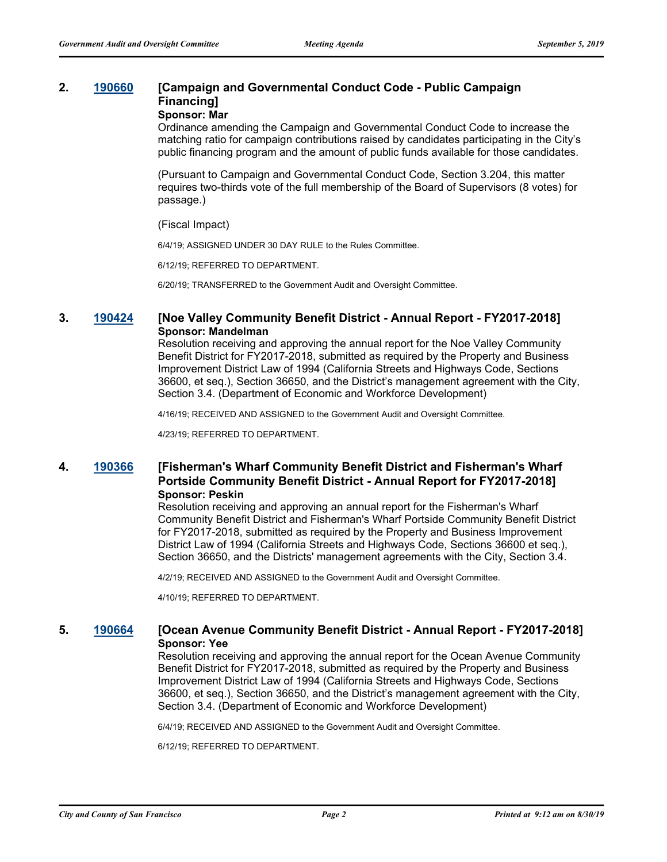# **2. [190660](http://sfgov.legistar.com/gateway.aspx?m=l&id=34782) [Campaign and Governmental Conduct Code - Public Campaign Financing]**

## **Sponsor: Mar**

Ordinance amending the Campaign and Governmental Conduct Code to increase the matching ratio for campaign contributions raised by candidates participating in the City's public financing program and the amount of public funds available for those candidates.

(Pursuant to Campaign and Governmental Conduct Code, Section 3.204, this matter requires two-thirds vote of the full membership of the Board of Supervisors (8 votes) for passage.)

#### (Fiscal Impact)

6/4/19; ASSIGNED UNDER 30 DAY RULE to the Rules Committee.

6/12/19; REFERRED TO DEPARTMENT.

6/20/19; TRANSFERRED to the Government Audit and Oversight Committee.

### **3. [190424](http://sfgov.legistar.com/gateway.aspx?m=l&id=34545) [Noe Valley Community Benefit District - Annual Report - FY2017-2018] Sponsor: Mandelman**

Resolution receiving and approving the annual report for the Noe Valley Community Benefit District for FY2017-2018, submitted as required by the Property and Business Improvement District Law of 1994 (California Streets and Highways Code, Sections 36600, et seq.), Section 36650, and the District's management agreement with the City, Section 3.4. (Department of Economic and Workforce Development)

4/16/19; RECEIVED AND ASSIGNED to the Government Audit and Oversight Committee.

4/23/19; REFERRED TO DEPARTMENT.

### **4. [190366](http://sfgov.legistar.com/gateway.aspx?m=l&id=34487) [Fisherman's Wharf Community Benefit District and Fisherman's Wharf Portside Community Benefit District - Annual Report for FY2017-2018] Sponsor: Peskin**

Resolution receiving and approving an annual report for the Fisherman's Wharf Community Benefit District and Fisherman's Wharf Portside Community Benefit District for FY2017-2018, submitted as required by the Property and Business Improvement District Law of 1994 (California Streets and Highways Code, Sections 36600 et seq.), Section 36650, and the Districts' management agreements with the City, Section 3.4.

4/2/19; RECEIVED AND ASSIGNED to the Government Audit and Oversight Committee.

4/10/19; REFERRED TO DEPARTMENT.

### **5. [190664](http://sfgov.legistar.com/gateway.aspx?m=l&id=34786) [Ocean Avenue Community Benefit District - Annual Report - FY2017-2018] Sponsor: Yee**

Resolution receiving and approving the annual report for the Ocean Avenue Community Benefit District for FY2017-2018, submitted as required by the Property and Business Improvement District Law of 1994 (California Streets and Highways Code, Sections 36600, et seq.), Section 36650, and the District's management agreement with the City, Section 3.4. (Department of Economic and Workforce Development)

6/4/19; RECEIVED AND ASSIGNED to the Government Audit and Oversight Committee.

6/12/19; REFERRED TO DEPARTMENT.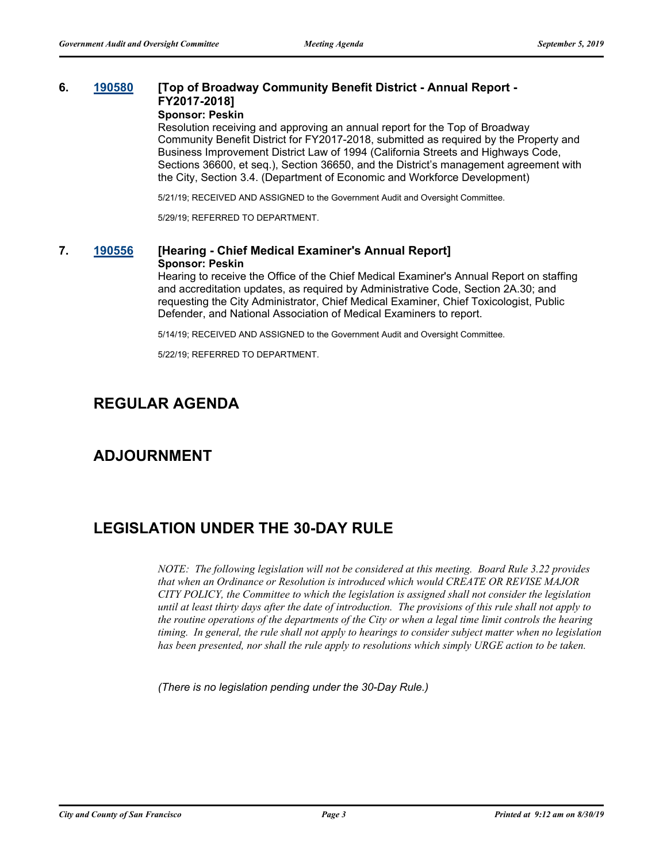# **6. [190580](http://sfgov.legistar.com/gateway.aspx?m=l&id=34702) [Top of Broadway Community Benefit District - Annual Report - FY2017-2018]**

**Sponsor: Peskin**

Resolution receiving and approving an annual report for the Top of Broadway Community Benefit District for FY2017-2018, submitted as required by the Property and Business Improvement District Law of 1994 (California Streets and Highways Code, Sections 36600, et seq.), Section 36650, and the District's management agreement with the City, Section 3.4. (Department of Economic and Workforce Development)

5/21/19; RECEIVED AND ASSIGNED to the Government Audit and Oversight Committee.

5/29/19; REFERRED TO DEPARTMENT.

### **7. [190556](http://sfgov.legistar.com/gateway.aspx?m=l&id=34678) [Hearing - Chief Medical Examiner's Annual Report] Sponsor: Peskin**

Hearing to receive the Office of the Chief Medical Examiner's Annual Report on staffing and accreditation updates, as required by Administrative Code, Section 2A.30; and requesting the City Administrator, Chief Medical Examiner, Chief Toxicologist, Public Defender, and National Association of Medical Examiners to report.

5/14/19; RECEIVED AND ASSIGNED to the Government Audit and Oversight Committee.

5/22/19; REFERRED TO DEPARTMENT.

# **REGULAR AGENDA**

# **ADJOURNMENT**

# **LEGISLATION UNDER THE 30-DAY RULE**

*NOTE: The following legislation will not be considered at this meeting. Board Rule 3.22 provides that when an Ordinance or Resolution is introduced which would CREATE OR REVISE MAJOR CITY POLICY, the Committee to which the legislation is assigned shall not consider the legislation until at least thirty days after the date of introduction. The provisions of this rule shall not apply to the routine operations of the departments of the City or when a legal time limit controls the hearing timing. In general, the rule shall not apply to hearings to consider subject matter when no legislation has been presented, nor shall the rule apply to resolutions which simply URGE action to be taken.*

*(There is no legislation pending under the 30-Day Rule.)*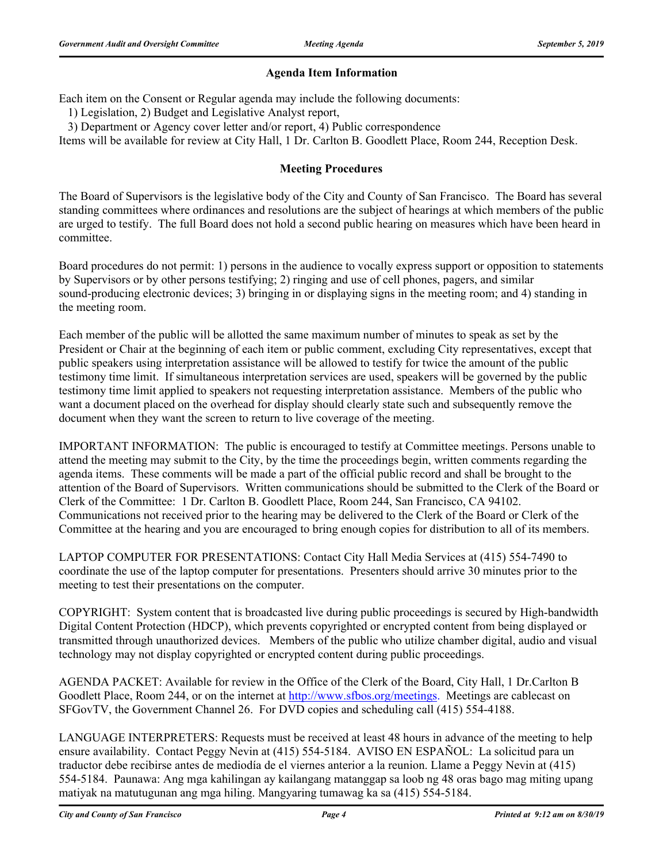# **Agenda Item Information**

Each item on the Consent or Regular agenda may include the following documents:

1) Legislation, 2) Budget and Legislative Analyst report,

3) Department or Agency cover letter and/or report, 4) Public correspondence

Items will be available for review at City Hall, 1 Dr. Carlton B. Goodlett Place, Room 244, Reception Desk.

### **Meeting Procedures**

The Board of Supervisors is the legislative body of the City and County of San Francisco. The Board has several standing committees where ordinances and resolutions are the subject of hearings at which members of the public are urged to testify. The full Board does not hold a second public hearing on measures which have been heard in committee.

Board procedures do not permit: 1) persons in the audience to vocally express support or opposition to statements by Supervisors or by other persons testifying; 2) ringing and use of cell phones, pagers, and similar sound-producing electronic devices; 3) bringing in or displaying signs in the meeting room; and 4) standing in the meeting room.

Each member of the public will be allotted the same maximum number of minutes to speak as set by the President or Chair at the beginning of each item or public comment, excluding City representatives, except that public speakers using interpretation assistance will be allowed to testify for twice the amount of the public testimony time limit. If simultaneous interpretation services are used, speakers will be governed by the public testimony time limit applied to speakers not requesting interpretation assistance. Members of the public who want a document placed on the overhead for display should clearly state such and subsequently remove the document when they want the screen to return to live coverage of the meeting.

IMPORTANT INFORMATION: The public is encouraged to testify at Committee meetings. Persons unable to attend the meeting may submit to the City, by the time the proceedings begin, written comments regarding the agenda items. These comments will be made a part of the official public record and shall be brought to the attention of the Board of Supervisors. Written communications should be submitted to the Clerk of the Board or Clerk of the Committee: 1 Dr. Carlton B. Goodlett Place, Room 244, San Francisco, CA 94102. Communications not received prior to the hearing may be delivered to the Clerk of the Board or Clerk of the Committee at the hearing and you are encouraged to bring enough copies for distribution to all of its members.

LAPTOP COMPUTER FOR PRESENTATIONS: Contact City Hall Media Services at (415) 554-7490 to coordinate the use of the laptop computer for presentations. Presenters should arrive 30 minutes prior to the meeting to test their presentations on the computer.

COPYRIGHT: System content that is broadcasted live during public proceedings is secured by High-bandwidth Digital Content Protection (HDCP), which prevents copyrighted or encrypted content from being displayed or transmitted through unauthorized devices. Members of the public who utilize chamber digital, audio and visual technology may not display copyrighted or encrypted content during public proceedings.

AGENDA PACKET: Available for review in the Office of the Clerk of the Board, City Hall, 1 Dr.Carlton B Goodlett Place, Room 244, or on the internet at http://www.sfbos.org/meetings. Meetings are cablecast on SFGovTV, the Government Channel 26. For DVD copies and scheduling call (415) 554-4188.

LANGUAGE INTERPRETERS: Requests must be received at least 48 hours in advance of the meeting to help ensure availability. Contact Peggy Nevin at (415) 554-5184. AVISO EN ESPAÑOL: La solicitud para un traductor debe recibirse antes de mediodía de el viernes anterior a la reunion. Llame a Peggy Nevin at (415) 554-5184. Paunawa: Ang mga kahilingan ay kailangang matanggap sa loob ng 48 oras bago mag miting upang matiyak na matutugunan ang mga hiling. Mangyaring tumawag ka sa (415) 554-5184.